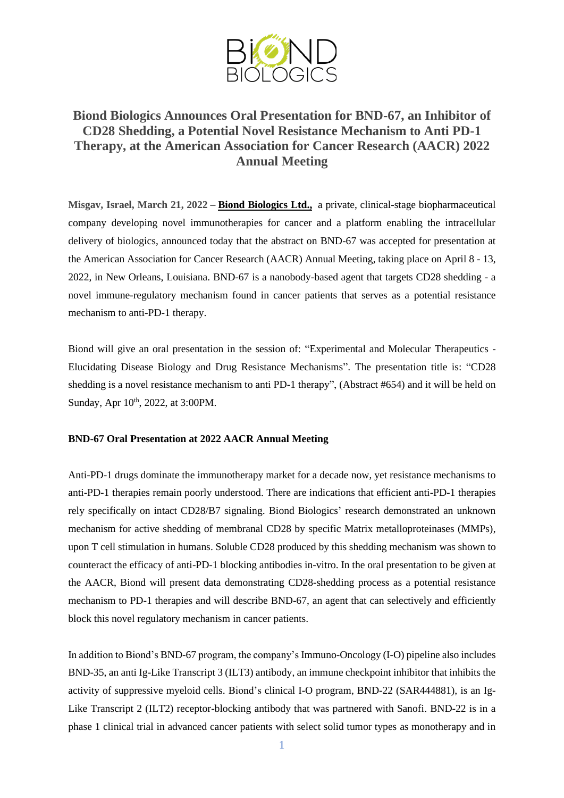

## **Biond Biologics Announces Oral Presentation for BND-67, an Inhibitor of CD28 Shedding, a Potential Novel Resistance Mechanism to Anti PD-1 Therapy, at the American Association for Cancer Research (AACR) 2022 Annual Meeting**

**Misgav, Israel, March 21, 2022 – Biond [Biologics](http://www.biondbio.com/) Ltd.,** a private, clinical-stage biopharmaceutical company developing novel immunotherapies for cancer and a platform enabling the intracellular delivery of biologics, announced today that the abstract on BND-67 was accepted for presentation at the American Association for Cancer Research (AACR) Annual Meeting, taking place on April 8 - 13, 2022, in New Orleans, Louisiana. BND-67 is a nanobody-based agent that targets CD28 shedding - a novel immune-regulatory mechanism found in cancer patients that serves as a potential resistance mechanism to anti-PD-1 therapy.

Biond will give an oral presentation in the session of: "Experimental and Molecular Therapeutics - Elucidating Disease Biology and Drug Resistance Mechanisms". The presentation title is: "CD28 shedding is a novel resistance mechanism to anti PD-1 therapy", (Abstract #654) and it will be held on Sunday, Apr 10<sup>th</sup>, 2022, at 3:00PM.

## **BND-67 Oral Presentation at 2022 AACR Annual Meeting**

Anti-PD-1 drugs dominate the immunotherapy market for a decade now, yet resistance mechanisms to anti-PD-1 therapies remain poorly understood. There are indications that efficient anti-PD-1 therapies rely specifically on intact CD28/B7 signaling. Biond Biologics' research demonstrated an unknown mechanism for active shedding of membranal CD28 by specific Matrix metalloproteinases (MMPs), upon T cell stimulation in humans. Soluble CD28 produced by this shedding mechanism was shown to counteract the efficacy of anti-PD-1 blocking antibodies in-vitro. In the oral presentation to be given at the AACR, Biond will present data demonstrating CD28-shedding process as a potential resistance mechanism to PD-1 therapies and will describe BND-67, an agent that can selectively and efficiently block this novel regulatory mechanism in cancer patients.

In addition to Biond's BND-67 program, the company's Immuno-Oncology (I-O) pipeline also includes BND-35, an anti Ig-Like Transcript 3 (ILT3) antibody, an immune checkpoint inhibitor that inhibits the activity of suppressive myeloid cells. Biond's clinical I-O program, BND-22 (SAR444881), is an Ig-Like Transcript 2 (ILT2) receptor-blocking antibody that was partnered with Sanofi. BND-22 is in a phase 1 clinical trial in advanced cancer patients with select solid tumor types as monotherapy and in